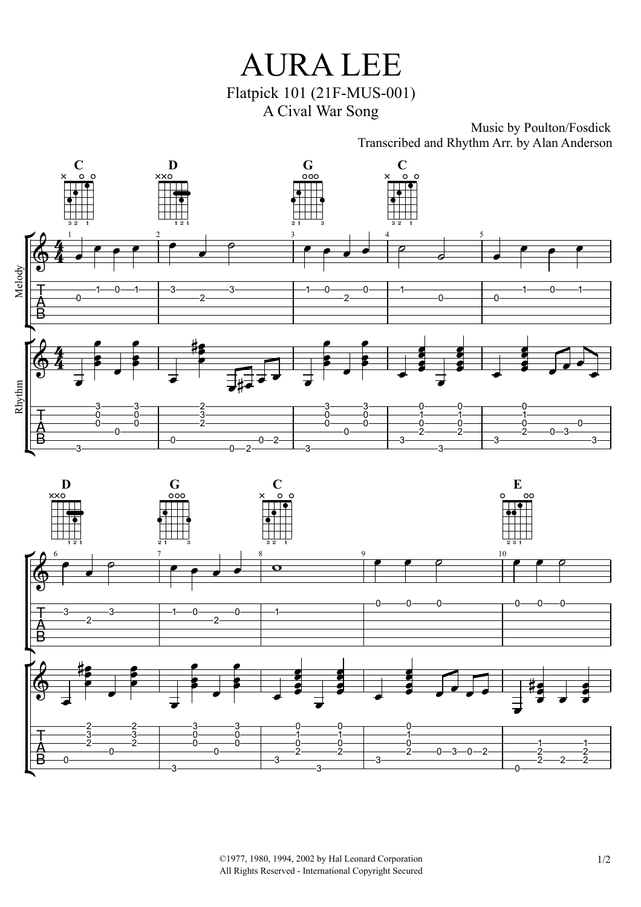

## Music by Poulton/Fosdick Transcribed and Rhythm Arr. by Alan Anderson